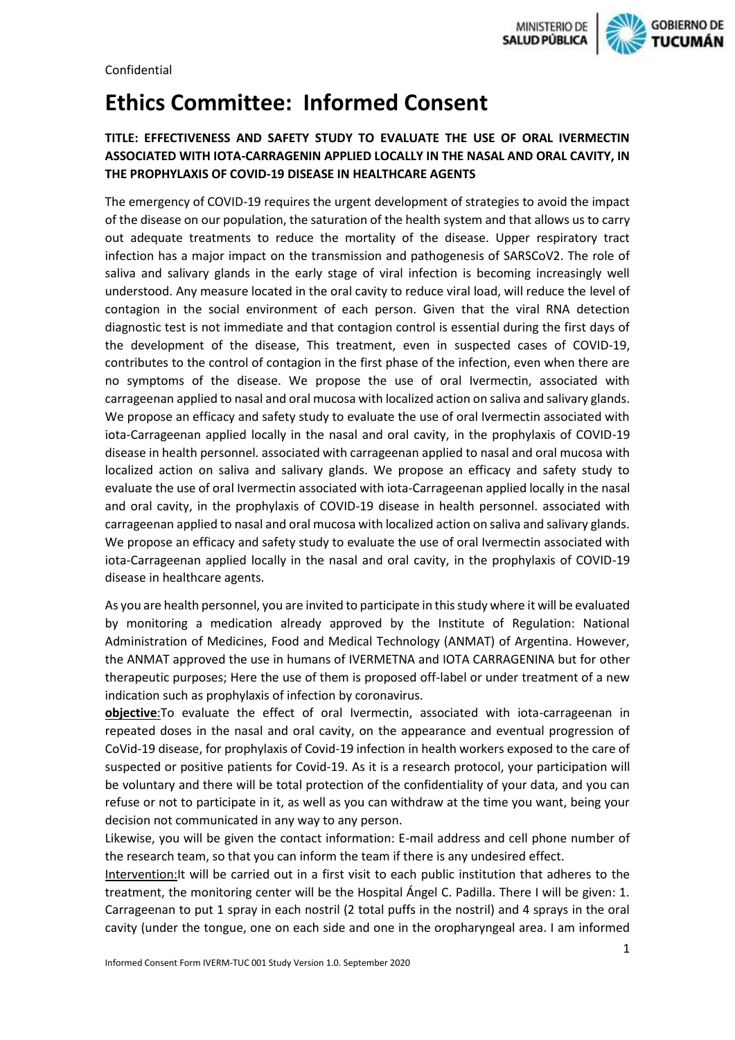**GOBIERNO DE** 

# **Ethics Committee: Informed Consent**

# **TITLE: EFFECTIVENESS AND SAFETY STUDY TO EVALUATE THE USE OF ORAL IVERMECTIN ASSOCIATED WITH IOTA-CARRAGENIN APPLIED LOCALLY IN THE NASAL AND ORAL CAVITY, IN THE PROPHYLAXIS OF COVID-19 DISEASE IN HEALTHCARE AGENTS**

The emergency of COVID-19 requires the urgent development of strategies to avoid the impact of the disease on our population, the saturation of the health system and that allows us to carry out adequate treatments to reduce the mortality of the disease. Upper respiratory tract infection has a major impact on the transmission and pathogenesis of SARSCoV2. The role of saliva and salivary glands in the early stage of viral infection is becoming increasingly well understood. Any measure located in the oral cavity to reduce viral load, will reduce the level of contagion in the social environment of each person. Given that the viral RNA detection diagnostic test is not immediate and that contagion control is essential during the first days of the development of the disease, This treatment, even in suspected cases of COVID-19, contributes to the control of contagion in the first phase of the infection, even when there are no symptoms of the disease. We propose the use of oral Ivermectin, associated with carrageenan applied to nasal and oral mucosa with localized action on saliva and salivary glands. We propose an efficacy and safety study to evaluate the use of oral Ivermectin associated with iota-Carrageenan applied locally in the nasal and oral cavity, in the prophylaxis of COVID-19 disease in health personnel. associated with carrageenan applied to nasal and oral mucosa with localized action on saliva and salivary glands. We propose an efficacy and safety study to evaluate the use of oral Ivermectin associated with iota-Carrageenan applied locally in the nasal and oral cavity, in the prophylaxis of COVID-19 disease in health personnel. associated with carrageenan applied to nasal and oral mucosa with localized action on saliva and salivary glands. We propose an efficacy and safety study to evaluate the use of oral Ivermectin associated with iota-Carrageenan applied locally in the nasal and oral cavity, in the prophylaxis of COVID-19 disease in healthcare agents.

As you are health personnel, you are invited to participate in this study where it will be evaluated by monitoring a medication already approved by the Institute of Regulation: National Administration of Medicines, Food and Medical Technology (ANMAT) of Argentina. However, the ANMAT approved the use in humans of IVERMETNA and IOTA CARRAGENINA but for other therapeutic purposes; Here the use of them is proposed off-label or under treatment of a new indication such as prophylaxis of infection by coronavirus.

**objective**:To evaluate the effect of oral Ivermectin, associated with iota-carrageenan in repeated doses in the nasal and oral cavity, on the appearance and eventual progression of CoVid-19 disease, for prophylaxis of Covid-19 infection in health workers exposed to the care of suspected or positive patients for Covid-19. As it is a research protocol, your participation will be voluntary and there will be total protection of the confidentiality of your data, and you can refuse or not to participate in it, as well as you can withdraw at the time you want, being your decision not communicated in any way to any person.

Likewise, you will be given the contact information: E-mail address and cell phone number of the research team, so that you can inform the team if there is any undesired effect.

Intervention:It will be carried out in a first visit to each public institution that adheres to the treatment, the monitoring center will be the Hospital Ángel C. Padilla. There I will be given: 1. Carrageenan to put 1 spray in each nostril (2 total puffs in the nostril) and 4 sprays in the oral cavity (under the tongue, one on each side and one in the oropharyngeal area. I am informed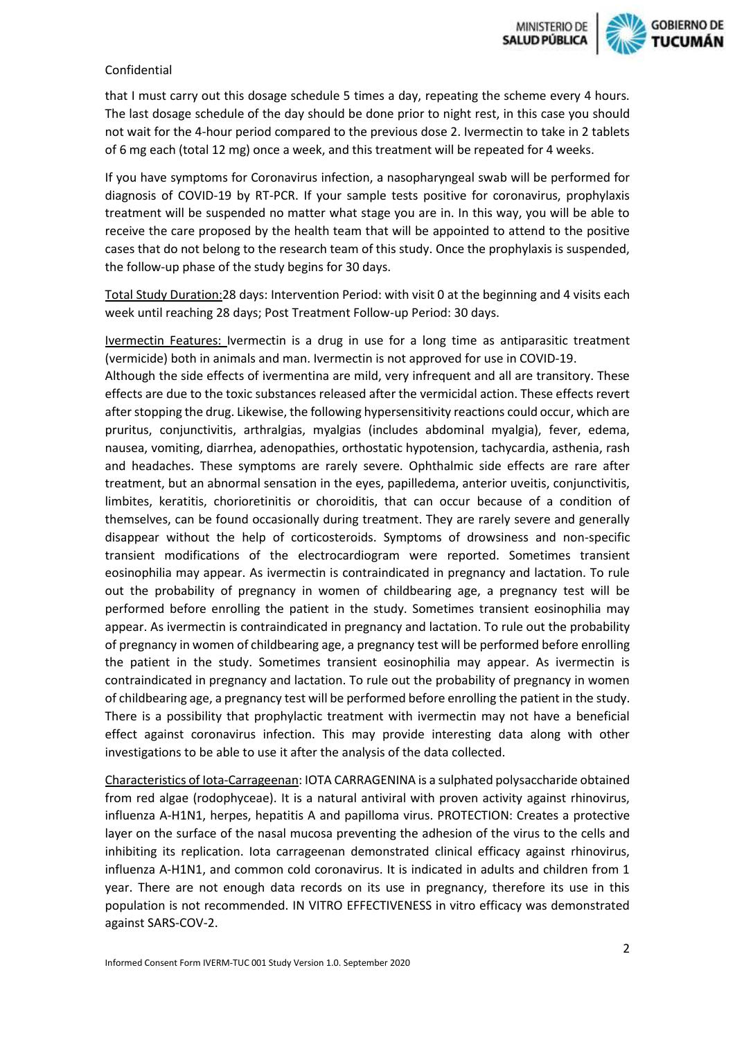

#### Confidential

that I must carry out this dosage schedule 5 times a day, repeating the scheme every 4 hours. The last dosage schedule of the day should be done prior to night rest, in this case you should not wait for the 4-hour period compared to the previous dose 2. Ivermectin to take in 2 tablets of 6 mg each (total 12 mg) once a week, and this treatment will be repeated for 4 weeks.

If you have symptoms for Coronavirus infection, a nasopharyngeal swab will be performed for diagnosis of COVID-19 by RT-PCR. If your sample tests positive for coronavirus, prophylaxis treatment will be suspended no matter what stage you are in. In this way, you will be able to receive the care proposed by the health team that will be appointed to attend to the positive cases that do not belong to the research team of this study. Once the prophylaxis is suspended, the follow-up phase of the study begins for 30 days.

Total Study Duration:28 days: Intervention Period: with visit 0 at the beginning and 4 visits each week until reaching 28 days; Post Treatment Follow-up Period: 30 days.

Ivermectin Features: Ivermectin is a drug in use for a long time as antiparasitic treatment (vermicide) both in animals and man. Ivermectin is not approved for use in COVID-19.

Although the side effects of ivermentina are mild, very infrequent and all are transitory. These effects are due to the toxic substances released after the vermicidal action. These effects revert after stopping the drug. Likewise, the following hypersensitivity reactions could occur, which are pruritus, conjunctivitis, arthralgias, myalgias (includes abdominal myalgia), fever, edema, nausea, vomiting, diarrhea, adenopathies, orthostatic hypotension, tachycardia, asthenia, rash and headaches. These symptoms are rarely severe. Ophthalmic side effects are rare after treatment, but an abnormal sensation in the eyes, papilledema, anterior uveitis, conjunctivitis, limbites, keratitis, chorioretinitis or choroiditis, that can occur because of a condition of themselves, can be found occasionally during treatment. They are rarely severe and generally disappear without the help of corticosteroids. Symptoms of drowsiness and non-specific transient modifications of the electrocardiogram were reported. Sometimes transient eosinophilia may appear. As ivermectin is contraindicated in pregnancy and lactation. To rule out the probability of pregnancy in women of childbearing age, a pregnancy test will be performed before enrolling the patient in the study. Sometimes transient eosinophilia may appear. As ivermectin is contraindicated in pregnancy and lactation. To rule out the probability of pregnancy in women of childbearing age, a pregnancy test will be performed before enrolling the patient in the study. Sometimes transient eosinophilia may appear. As ivermectin is contraindicated in pregnancy and lactation. To rule out the probability of pregnancy in women of childbearing age, a pregnancy test will be performed before enrolling the patient in the study. There is a possibility that prophylactic treatment with ivermectin may not have a beneficial effect against coronavirus infection. This may provide interesting data along with other investigations to be able to use it after the analysis of the data collected.

Characteristics of Iota-Carrageenan: IOTA CARRAGENINA is a sulphated polysaccharide obtained from red algae (rodophyceae). It is a natural antiviral with proven activity against rhinovirus, influenza A-H1N1, herpes, hepatitis A and papilloma virus. PROTECTION: Creates a protective layer on the surface of the nasal mucosa preventing the adhesion of the virus to the cells and inhibiting its replication. Iota carrageenan demonstrated clinical efficacy against rhinovirus, influenza A-H1N1, and common cold coronavirus. It is indicated in adults and children from 1 year. There are not enough data records on its use in pregnancy, therefore its use in this population is not recommended. IN VITRO EFFECTIVENESS in vitro efficacy was demonstrated against SARS-COV-2.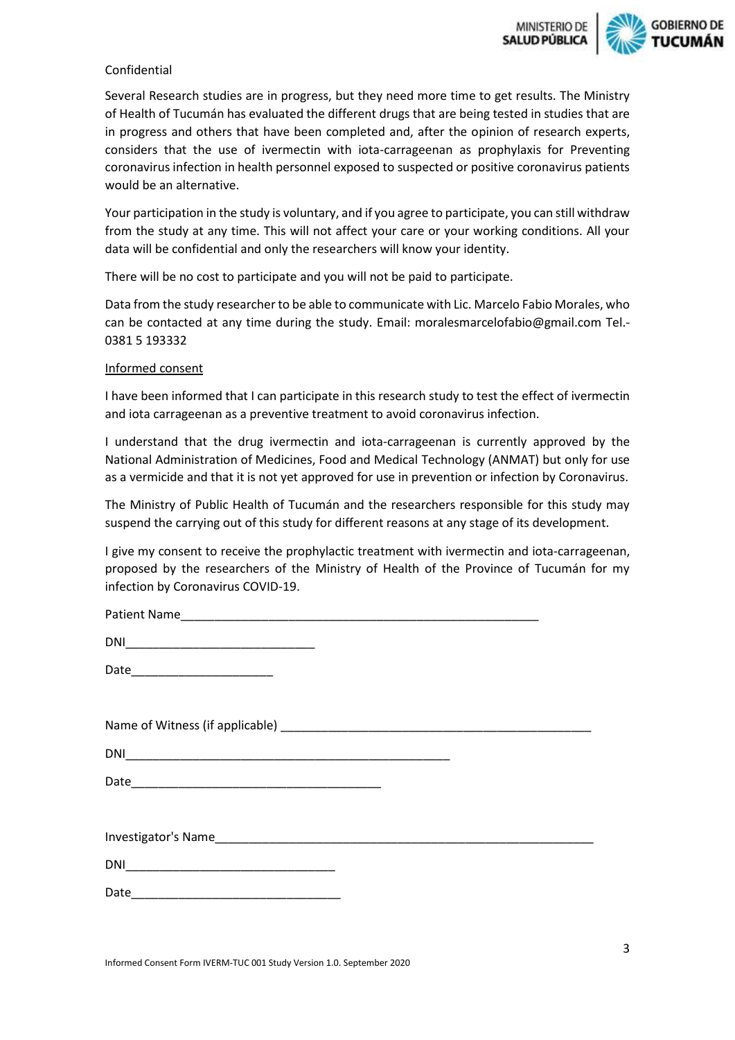

## Confidential

Several Research studies are in progress, but they need more time to get results. The Ministry of Health of Tucumán has evaluated the different drugs that are being tested in studies that are in progress and others that have been completed and, after the opinion of research experts, considers that the use of ivermectin with iota-carrageenan as prophylaxis for Preventing coronavirus infection in health personnel exposed to suspected or positive coronavirus patients would be an alternative.

Your participation in the study is voluntary, and if you agree to participate, you can still withdraw from the study at any time. This will not affect your care or your working conditions. All your data will be confidential and only the researchers will know your identity.

There will be no cost to participate and you will not be paid to participate.

Data from the study researcher to be able to communicate with Lic. Marcelo Fabio Morales, who can be contacted at any time during the study. Email: moralesmarcelofabio@gmail.com Tel.- 0381 5 193332

## Informed consent

I have been informed that I can participate in this research study to test the effect of ivermectin and iota carrageenan as a preventive treatment to avoid coronavirus infection.

I understand that the drug ivermectin and iota-carrageenan is currently approved by the National Administration of Medicines, Food and Medical Technology (ANMAT) but only for use as a vermicide and that it is not yet approved for use in prevention or infection by Coronavirus.

The Ministry of Public Health of Tucumán and the researchers responsible for this study may suspend the carrying out of this study for different reasons at any stage of its development.

I give my consent to receive the prophylactic treatment with ivermectin and iota-carrageenan, proposed by the researchers of the Ministry of Health of the Province of Tucumán for my infection by Coronavirus COVID-19.

| Date |  |
|------|--|